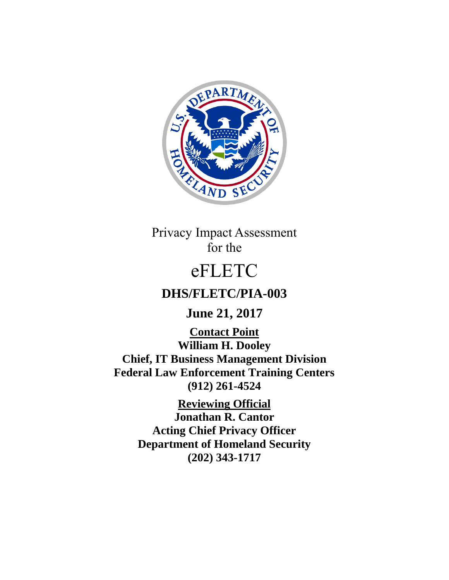

Privacy Impact Assessment for the

# eFLETC

# **DHS/FLETC/PIA-003**

# **June 21, 2017**

**Contact Point William H. Dooley Chief, IT Business Management Division Federal Law Enforcement Training Centers (912) 261-4524**

> **Reviewing Official Jonathan R. Cantor Acting Chief Privacy Officer Department of Homeland Security (202) 343-1717**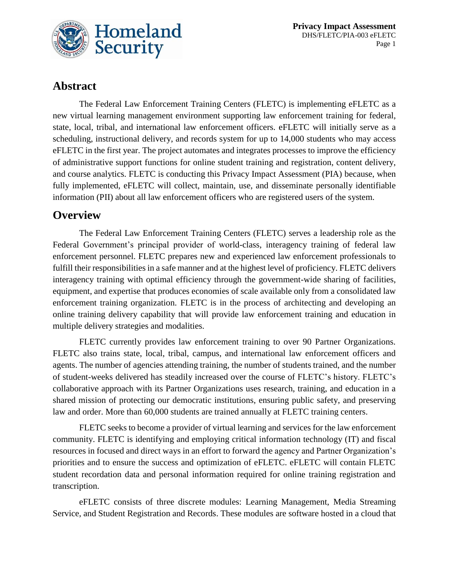

**Privacy Impact Assessment** DHS/FLETC/PIA-003 eFLETC Page 1

## **Abstract**

The Federal Law Enforcement Training Centers (FLETC) is implementing eFLETC as a new virtual learning management environment supporting law enforcement training for federal, state, local, tribal, and international law enforcement officers. eFLETC will initially serve as a scheduling, instructional delivery, and records system for up to 14,000 students who may access eFLETC in the first year. The project automates and integrates processes to improve the efficiency of administrative support functions for online student training and registration, content delivery, and course analytics. FLETC is conducting this Privacy Impact Assessment (PIA) because, when fully implemented, eFLETC will collect, maintain, use, and disseminate personally identifiable information (PII) about all law enforcement officers who are registered users of the system.

#### **Overview**

The Federal Law Enforcement Training Centers (FLETC) serves a leadership role as the Federal Government's principal provider of world-class, interagency training of federal law enforcement personnel. FLETC prepares new and experienced law enforcement professionals to fulfill their responsibilities in a safe manner and at the highest level of proficiency. FLETC delivers interagency training with optimal efficiency through the government-wide sharing of facilities, equipment, and expertise that produces economies of scale available only from a consolidated law enforcement training organization. FLETC is in the process of architecting and developing an online training delivery capability that will provide law enforcement training and education in multiple delivery strategies and modalities.

FLETC currently provides law enforcement training to over 90 Partner Organizations. FLETC also trains state, local, tribal, campus, and international law enforcement officers and agents. The number of agencies attending training, the number of students trained, and the number of student-weeks delivered has steadily increased over the course of FLETC's history. FLETC's collaborative approach with its Partner Organizations uses research, training, and education in a shared mission of protecting our democratic institutions, ensuring public safety, and preserving law and order. More than 60,000 students are trained annually at FLETC training centers.

FLETC seeks to become a provider of virtual learning and services for the law enforcement community. FLETC is identifying and employing critical information technology (IT) and fiscal resources in focused and direct ways in an effort to forward the agency and Partner Organization's priorities and to ensure the success and optimization of eFLETC. eFLETC will contain FLETC student recordation data and personal information required for online training registration and transcription.

eFLETC consists of three discrete modules: Learning Management, Media Streaming Service, and Student Registration and Records. These modules are software hosted in a cloud that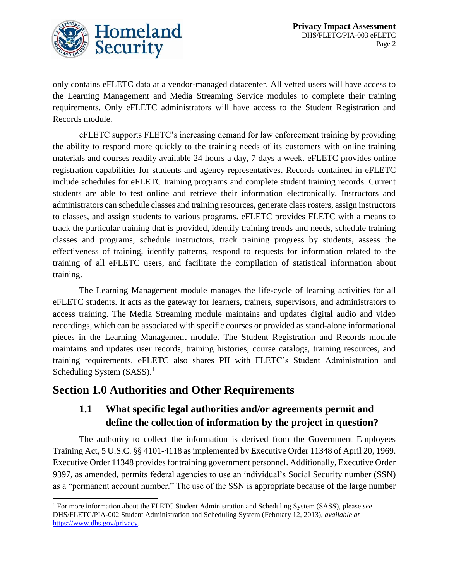

only contains eFLETC data at a vendor-managed datacenter. All vetted users will have access to the Learning Management and Media Streaming Service modules to complete their training requirements. Only eFLETC administrators will have access to the Student Registration and Records module.

eFLETC supports FLETC's increasing demand for law enforcement training by providing the ability to respond more quickly to the training needs of its customers with online training materials and courses readily available 24 hours a day, 7 days a week. eFLETC provides online registration capabilities for students and agency representatives. Records contained in eFLETC include schedules for eFLETC training programs and complete student training records. Current students are able to test online and retrieve their information electronically. Instructors and administrators can schedule classes and training resources, generate class rosters, assign instructors to classes, and assign students to various programs. eFLETC provides FLETC with a means to track the particular training that is provided, identify training trends and needs, schedule training classes and programs, schedule instructors, track training progress by students, assess the effectiveness of training, identify patterns, respond to requests for information related to the training of all eFLETC users, and facilitate the compilation of statistical information about training.

The Learning Management module manages the life-cycle of learning activities for all eFLETC students. It acts as the gateway for learners, trainers, supervisors, and administrators to access training. The Media Streaming module maintains and updates digital audio and video recordings, which can be associated with specific courses or provided as stand-alone informational pieces in the Learning Management module. The Student Registration and Records module maintains and updates user records, training histories, course catalogs, training resources, and training requirements. eFLETC also shares PII with FLETC's Student Administration and Scheduling System (SASS).<sup>1</sup>

## **Section 1.0 Authorities and Other Requirements**

l

## **1.1 What specific legal authorities and/or agreements permit and define the collection of information by the project in question?**

The authority to collect the information is derived from the Government Employees Training Act, 5 U.S.C. §§ 4101-4118 as implemented by Executive Order 11348 of April 20, 1969. Executive Order 11348 provides for training government personnel. Additionally, Executive Order 9397, as amended, permits federal agencies to use an individual's Social Security number (SSN) as a "permanent account number." The use of the SSN is appropriate because of the large number

<sup>1</sup> For more information about the FLETC Student Administration and Scheduling System (SASS), please *see* DHS/FLETC/PIA-002 Student Administration and Scheduling System (February 12, 2013), *available at* [https://www.dhs.gov/privacy.](https://www.dhs.gov/privacy)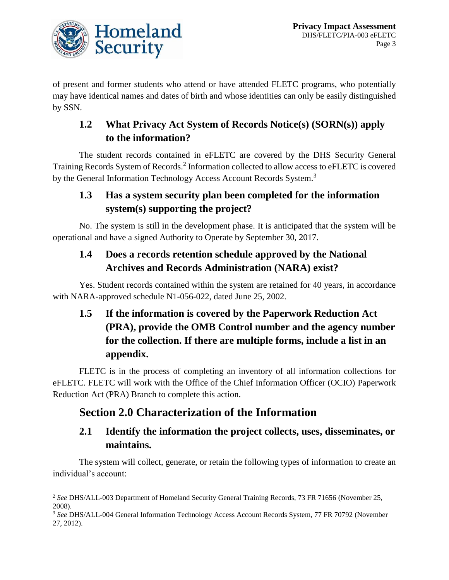

 $\overline{\phantom{a}}$ 

of present and former students who attend or have attended FLETC programs, who potentially may have identical names and dates of birth and whose identities can only be easily distinguished by SSN.

## **1.2 What Privacy Act System of Records Notice(s) (SORN(s)) apply to the information?**

The student records contained in eFLETC are covered by the DHS Security General Training Records System of Records.<sup>2</sup> Information collected to allow access to eFLETC is covered by the General Information Technology Access Account Records System.<sup>3</sup>

## **1.3 Has a system security plan been completed for the information system(s) supporting the project?**

No. The system is still in the development phase. It is anticipated that the system will be operational and have a signed Authority to Operate by September 30, 2017.

## **1.4 Does a records retention schedule approved by the National Archives and Records Administration (NARA) exist?**

Yes. Student records contained within the system are retained for 40 years, in accordance with NARA-approved schedule N1-056-022, dated June 25, 2002.

# **1.5 If the information is covered by the Paperwork Reduction Act (PRA), provide the OMB Control number and the agency number for the collection. If there are multiple forms, include a list in an appendix.**

FLETC is in the process of completing an inventory of all information collections for eFLETC. FLETC will work with the Office of the Chief Information Officer (OCIO) Paperwork Reduction Act (PRA) Branch to complete this action.

## **Section 2.0 Characterization of the Information**

## **2.1 Identify the information the project collects, uses, disseminates, or maintains.**

The system will collect, generate, or retain the following types of information to create an individual's account:

<sup>&</sup>lt;sup>2</sup> See DHS/ALL-003 Department of Homeland Security General Training Records, 73 FR 71656 (November 25, 2008).

<sup>3</sup> *See* DHS/ALL-004 General Information Technology Access Account Records System, 77 FR 70792 (November 27, 2012).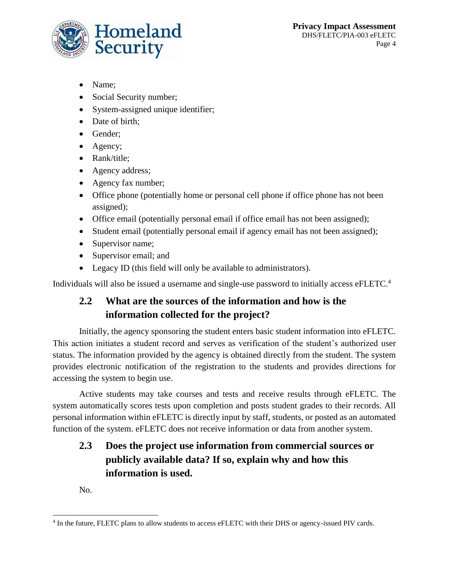

- Name;
- Social Security number;
- System-assigned unique identifier;
- Date of birth;
- Gender:
- Agency;
- Rank/title:
- Agency address;
- Agency fax number;
- Office phone (potentially home or personal cell phone if office phone has not been assigned);
- Office email (potentially personal email if office email has not been assigned);
- Student email (potentially personal email if agency email has not been assigned);
- Supervisor name;
- Supervisor email; and
- Legacy ID (this field will only be available to administrators).

Individuals will also be issued a username and single-use password to initially access eFLETC.<sup>4</sup>

## **2.2 What are the sources of the information and how is the information collected for the project?**

Initially, the agency sponsoring the student enters basic student information into eFLETC. This action initiates a student record and serves as verification of the student's authorized user status. The information provided by the agency is obtained directly from the student. The system provides electronic notification of the registration to the students and provides directions for accessing the system to begin use.

Active students may take courses and tests and receive results through eFLETC. The system automatically scores tests upon completion and posts student grades to their records. All personal information within eFLETC is directly input by staff, students, or posted as an automated function of the system. eFLETC does not receive information or data from another system.

## **2.3 Does the project use information from commercial sources or publicly available data? If so, explain why and how this information is used.**

No.

l <sup>4</sup> In the future, FLETC plans to allow students to access eFLETC with their DHS or agency-issued PIV cards.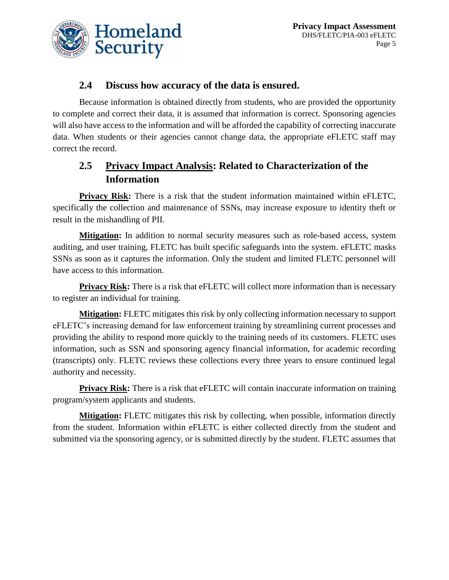

#### **2.4 Discuss how accuracy of the data is ensured.**

Because information is obtained directly from students, who are provided the opportunity to complete and correct their data, it is assumed that information is correct. Sponsoring agencies will also have access to the information and will be afforded the capability of correcting inaccurate data. When students or their agencies cannot change data, the appropriate eFLETC staff may correct the record.

## **2.5 Privacy Impact Analysis: Related to Characterization of the Information**

**Privacy Risk:** There is a risk that the student information maintained within eFLETC, specifically the collection and maintenance of SSNs, may increase exposure to identity theft or result in the mishandling of PII.

**Mitigation:** In addition to normal security measures such as role-based access, system auditing, and user training, FLETC has built specific safeguards into the system. eFLETC masks SSNs as soon as it captures the information. Only the student and limited FLETC personnel will have access to this information.

**Privacy Risk:** There is a risk that eFLETC will collect more information than is necessary to register an individual for training.

**Mitigation:** FLETC mitigates this risk by only collecting information necessary to support eFLETC's increasing demand for law enforcement training by streamlining current processes and providing the ability to respond more quickly to the training needs of its customers. FLETC uses information, such as SSN and sponsoring agency financial information, for academic recording (transcripts) only. FLETC reviews these collections every three years to ensure continued legal authority and necessity.

**Privacy Risk:** There is a risk that eFLETC will contain inaccurate information on training program/system applicants and students.

**Mitigation:** FLETC mitigates this risk by collecting, when possible, information directly from the student. Information within eFLETC is either collected directly from the student and submitted via the sponsoring agency, or is submitted directly by the student. FLETC assumes that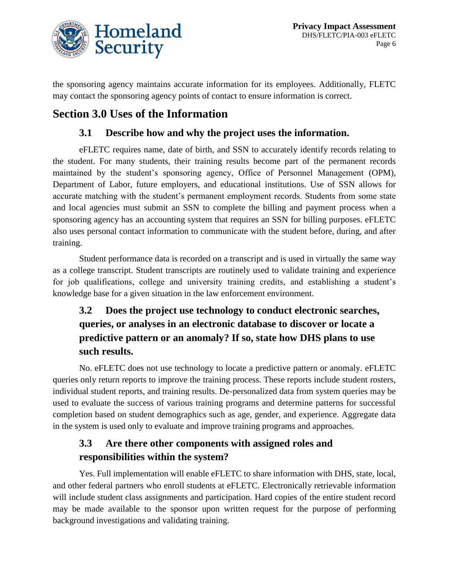

the sponsoring agency maintains accurate information for its employees. Additionally, FLETC may contact the sponsoring agency points of contact to ensure information is correct.

# **Section 3.0 Uses of the Information**

#### **3.1 Describe how and why the project uses the information.**

eFLETC requires name, date of birth, and SSN to accurately identify records relating to the student. For many students, their training results become part of the permanent records maintained by the student's sponsoring agency, Office of Personnel Management (OPM), Department of Labor, future employers, and educational institutions. Use of SSN allows for accurate matching with the student's permanent employment records. Students from some state and local agencies must submit an SSN to complete the billing and payment process when a sponsoring agency has an accounting system that requires an SSN for billing purposes. eFLETC also uses personal contact information to communicate with the student before, during, and after training.

Student performance data is recorded on a transcript and is used in virtually the same way as a college transcript. Student transcripts are routinely used to validate training and experience for job qualifications, college and university training credits, and establishing a student's knowledge base for a given situation in the law enforcement environment.

## **3.2 Does the project use technology to conduct electronic searches, queries, or analyses in an electronic database to discover or locate a predictive pattern or an anomaly? If so, state how DHS plans to use such results.**

No. eFLETC does not use technology to locate a predictive pattern or anomaly. eFLETC queries only return reports to improve the training process. These reports include student rosters, individual student reports, and training results. De-personalized data from system queries may be used to evaluate the success of various training programs and determine patterns for successful completion based on student demographics such as age, gender, and experience. Aggregate data in the system is used only to evaluate and improve training programs and approaches.

## **3.3 Are there other components with assigned roles and responsibilities within the system?**

Yes. Full implementation will enable eFLETC to share information with DHS, state, local, and other federal partners who enroll students at eFLETC. Electronically retrievable information will include student class assignments and participation. Hard copies of the entire student record may be made available to the sponsor upon written request for the purpose of performing background investigations and validating training.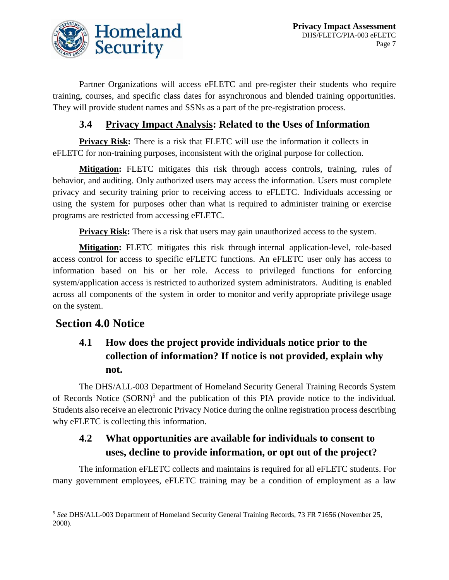

Partner Organizations will access eFLETC and pre-register their students who require training, courses, and specific class dates for asynchronous and blended training opportunities. They will provide student names and SSNs as a part of the pre-registration process.

#### **3.4 Privacy Impact Analysis: Related to the Uses of Information**

**Privacy Risk:** There is a risk that FLETC will use the information it collects in eFLETC for non-training purposes, inconsistent with the original purpose for collection.

**Mitigation:** FLETC mitigates this risk through access controls, training, rules of behavior, and auditing. Only authorized users may access the information. Users must complete privacy and security training prior to receiving access to eFLETC. Individuals accessing or using the system for purposes other than what is required to administer training or exercise programs are restricted from accessing eFLETC.

**Privacy Risk:** There is a risk that users may gain unauthorized access to the system.

**Mitigation:** FLETC mitigates this risk through internal application-level, role-based access control for access to specific eFLETC functions. An eFLETC user only has access to information based on his or her role. Access to privileged functions for enforcing system/application access is restricted to authorized system administrators. Auditing is enabled across all components of the system in order to monitor and verify appropriate privilege usage on the system.

## **Section 4.0 Notice**

 $\overline{a}$ 

## **4.1 How does the project provide individuals notice prior to the collection of information? If notice is not provided, explain why not.**

The DHS/ALL-003 Department of Homeland Security General Training Records System of Records Notice (SORN)<sup>5</sup> and the publication of this PIA provide notice to the individual. Students also receive an electronic Privacy Notice during the online registration process describing why eFLETC is collecting this information.

#### **4.2 What opportunities are available for individuals to consent to uses, decline to provide information, or opt out of the project?**

The information eFLETC collects and maintains is required for all eFLETC students. For many government employees, eFLETC training may be a condition of employment as a law

<sup>5</sup> *See* DHS/ALL-003 Department of Homeland Security General Training Records, 73 FR 71656 (November 25, 2008).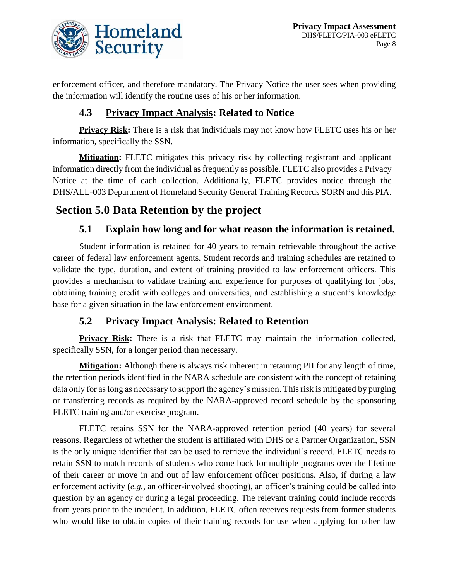

enforcement officer, and therefore mandatory. The Privacy Notice the user sees when providing the information will identify the routine uses of his or her information.

#### **4.3 Privacy Impact Analysis: Related to Notice**

**Privacy Risk:** There is a risk that individuals may not know how FLETC uses his or her information, specifically the SSN.

**Mitigation:** FLETC mitigates this privacy risk by collecting registrant and applicant information directly from the individual as frequently as possible. FLETC also provides a Privacy Notice at the time of each collection. Additionally, FLETC provides notice through the DHS/ALL-003 Department of Homeland Security General Training Records SORN and this PIA.

# **Section 5.0 Data Retention by the project**

#### **5.1 Explain how long and for what reason the information is retained.**

Student information is retained for 40 years to remain retrievable throughout the active career of federal law enforcement agents. Student records and training schedules are retained to validate the type, duration, and extent of training provided to law enforcement officers. This provides a mechanism to validate training and experience for purposes of qualifying for jobs, obtaining training credit with colleges and universities, and establishing a student's knowledge base for a given situation in the law enforcement environment.

#### **5.2 Privacy Impact Analysis: Related to Retention**

**Privacy Risk:** There is a risk that FLETC may maintain the information collected, specifically SSN, for a longer period than necessary.

**Mitigation:** Although there is always risk inherent in retaining PII for any length of time, the retention periods identified in the NARA schedule are consistent with the concept of retaining data only for as long as necessary to support the agency's mission. This risk is mitigated by purging or transferring records as required by the NARA-approved record schedule by the sponsoring FLETC training and/or exercise program.

FLETC retains SSN for the NARA-approved retention period (40 years) for several reasons. Regardless of whether the student is affiliated with DHS or a Partner Organization, SSN is the only unique identifier that can be used to retrieve the individual's record. FLETC needs to retain SSN to match records of students who come back for multiple programs over the lifetime of their career or move in and out of law enforcement officer positions. Also, if during a law enforcement activity (*e.g.*, an officer-involved shooting), an officer's training could be called into question by an agency or during a legal proceeding. The relevant training could include records from years prior to the incident. In addition, FLETC often receives requests from former students who would like to obtain copies of their training records for use when applying for other law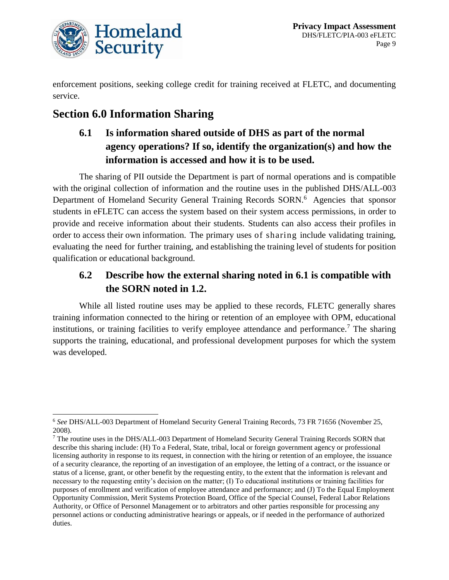

enforcement positions, seeking college credit for training received at FLETC, and documenting service.

# **Section 6.0 Information Sharing**

## **6.1 Is information shared outside of DHS as part of the normal agency operations? If so, identify the organization(s) and how the information is accessed and how it is to be used.**

The sharing of PII outside the Department is part of normal operations and is compatible with the original collection of information and the routine uses in the published DHS/ALL-003 Department of Homeland Security General Training Records SORN.<sup>6</sup> Agencies that sponsor students in eFLETC can access the system based on their system access permissions, in order to provide and receive information about their students. Students can also access their profiles in order to access their own information. The primary uses of sharing include validating training, evaluating the need for further training, and establishing the training level of students for position qualification or educational background.

## **6.2 Describe how the external sharing noted in 6.1 is compatible with the SORN noted in 1.2.**

While all listed routine uses may be applied to these records, FLETC generally shares training information connected to the hiring or retention of an employee with OPM, educational institutions, or training facilities to verify employee attendance and performance.<sup>7</sup> The sharing supports the training, educational, and professional development purposes for which the system was developed.

l <sup>6</sup> *See* DHS/ALL-003 Department of Homeland Security General Training Records, 73 FR 71656 (November 25, 2008).

<sup>7</sup> The routine uses in the DHS/ALL-003 Department of Homeland Security General Training Records SORN that describe this sharing include: (H) To a Federal, State, tribal, local or foreign government agency or professional licensing authority in response to its request, in connection with the hiring or retention of an employee, the issuance of a security clearance, the reporting of an investigation of an employee, the letting of a contract, or the issuance or status of a license, grant, or other benefit by the requesting entity, to the extent that the information is relevant and necessary to the requesting entity's decision on the matter; (I) To educational institutions or training facilities for purposes of enrollment and verification of employee attendance and performance; and (J) To the Equal Employment Opportunity Commission, Merit Systems Protection Board, Office of the Special Counsel, Federal Labor Relations Authority, or Office of Personnel Management or to arbitrators and other parties responsible for processing any personnel actions or conducting administrative hearings or appeals, or if needed in the performance of authorized duties.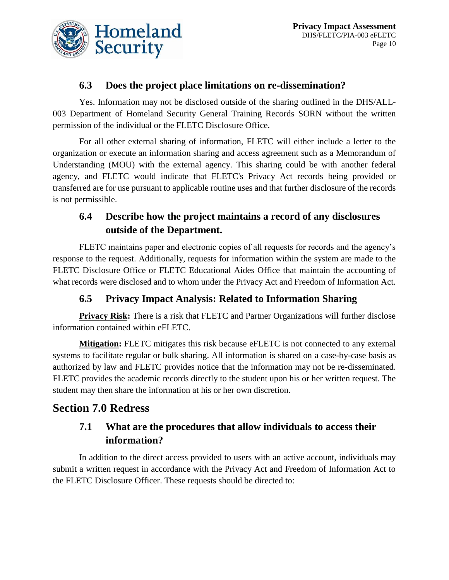

#### **6.3 Does the project place limitations on re-dissemination?**

Yes. Information may not be disclosed outside of the sharing outlined in the DHS/ALL-003 Department of Homeland Security General Training Records SORN without the written permission of the individual or the FLETC Disclosure Office.

For all other external sharing of information, FLETC will either include a letter to the organization or execute an information sharing and access agreement such as a Memorandum of Understanding (MOU) with the external agency. This sharing could be with another federal agency, and FLETC would indicate that FLETC's Privacy Act records being provided or transferred are for use pursuant to applicable routine uses and that further disclosure of the records is not permissible.

## **6.4 Describe how the project maintains a record of any disclosures outside of the Department.**

FLETC maintains paper and electronic copies of all requests for records and the agency's response to the request. Additionally, requests for information within the system are made to the FLETC Disclosure Office or FLETC Educational Aides Office that maintain the accounting of what records were disclosed and to whom under the Privacy Act and Freedom of Information Act.

## **6.5 Privacy Impact Analysis: Related to Information Sharing**

**Privacy Risk:** There is a risk that FLETC and Partner Organizations will further disclose information contained within eFLETC.

**Mitigation:** FLETC mitigates this risk because eFLETC is not connected to any external systems to facilitate regular or bulk sharing. All information is shared on a case-by-case basis as authorized by law and FLETC provides notice that the information may not be re-disseminated. FLETC provides the academic records directly to the student upon his or her written request. The student may then share the information at his or her own discretion.

## **Section 7.0 Redress**

## **7.1 What are the procedures that allow individuals to access their information?**

In addition to the direct access provided to users with an active account, individuals may submit a written request in accordance with the Privacy Act and Freedom of Information Act to the FLETC Disclosure Officer. These requests should be directed to: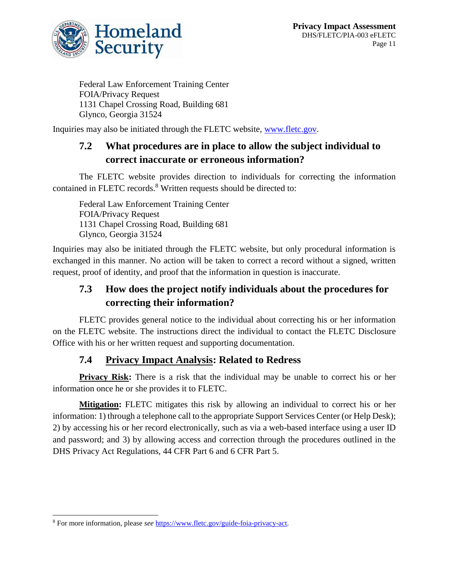

Federal Law Enforcement Training Center FOIA/Privacy Request 1131 Chapel Crossing Road, Building 681 Glynco, Georgia 31524

Inquiries may also be initiated through the FLETC website, [www.fletc.gov.](http://www.fletc.gov/)

## **7.2 What procedures are in place to allow the subject individual to correct inaccurate or erroneous information?**

The FLETC website provides direction to individuals for correcting the information contained in FLETC records.<sup>8</sup> Written requests should be directed to:

Federal Law Enforcement Training Center FOIA/Privacy Request 1131 Chapel Crossing Road, Building 681 Glynco, Georgia 31524

Inquiries may also be initiated through the FLETC website, but only procedural information is exchanged in this manner. No action will be taken to correct a record without a signed, written request, proof of identity, and proof that the information in question is inaccurate.

## **7.3 How does the project notify individuals about the procedures for correcting their information?**

FLETC provides general notice to the individual about correcting his or her information on the FLETC website. The instructions direct the individual to contact the FLETC Disclosure Office with his or her written request and supporting documentation.

#### **7.4 Privacy Impact Analysis: Related to Redress**

**Privacy Risk:** There is a risk that the individual may be unable to correct his or her information once he or she provides it to FLETC.

**Mitigation:** FLETC mitigates this risk by allowing an individual to correct his or her information: 1) through a telephone call to the appropriate Support Services Center (or Help Desk); 2) by accessing his or her record electronically, such as via a web-based interface using a user ID and password; and 3) by allowing access and correction through the procedures outlined in the DHS Privacy Act Regulations, 44 CFR Part 6 and 6 CFR Part 5.

l

<sup>8</sup> For more information, please *see* [https://www.fletc.gov/guide-foia-privacy-act.](https://www.fletc.gov/guide-foia-privacy-act)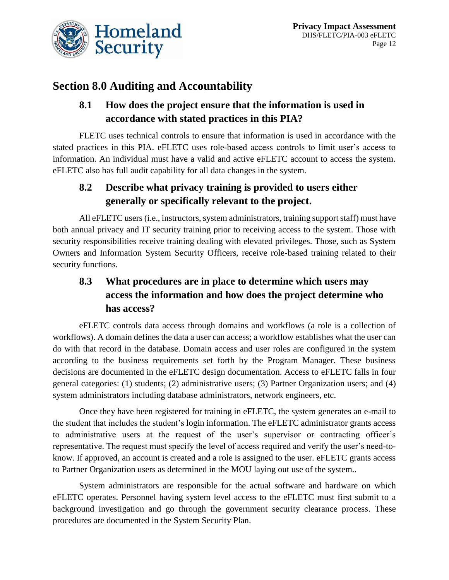

# **Section 8.0 Auditing and Accountability**

## **8.1 How does the project ensure that the information is used in accordance with stated practices in this PIA?**

FLETC uses technical controls to ensure that information is used in accordance with the stated practices in this PIA. eFLETC uses role-based access controls to limit user's access to information. An individual must have a valid and active eFLETC account to access the system. eFLETC also has full audit capability for all data changes in the system.

## **8.2 Describe what privacy training is provided to users either generally or specifically relevant to the project.**

All eFLETC users (i.e., instructors, system administrators, training support staff) must have both annual privacy and IT security training prior to receiving access to the system. Those with security responsibilities receive training dealing with elevated privileges. Those, such as System Owners and Information System Security Officers, receive role-based training related to their security functions.

## **8.3 What procedures are in place to determine which users may access the information and how does the project determine who has access?**

eFLETC controls data access through domains and workflows (a role is a collection of workflows). A domain defines the data a user can access; a workflow establishes what the user can do with that record in the database. Domain access and user roles are configured in the system according to the business requirements set forth by the Program Manager. These business decisions are documented in the eFLETC design documentation. Access to eFLETC falls in four general categories: (1) students; (2) administrative users; (3) Partner Organization users; and (4) system administrators including database administrators, network engineers, etc.

Once they have been registered for training in eFLETC, the system generates an e-mail to the student that includes the student's login information. The eFLETC administrator grants access to administrative users at the request of the user's supervisor or contracting officer's representative. The request must specify the level of access required and verify the user's need-toknow. If approved, an account is created and a role is assigned to the user. eFLETC grants access to Partner Organization users as determined in the MOU laying out use of the system..

System administrators are responsible for the actual software and hardware on which eFLETC operates. Personnel having system level access to the eFLETC must first submit to a background investigation and go through the government security clearance process. These procedures are documented in the System Security Plan.